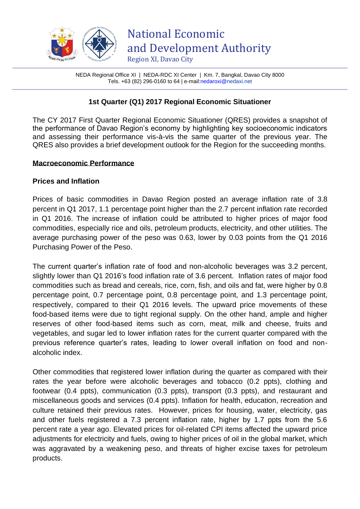

NEDA Regional Office XI | NEDA-RDC XI Center | Km. 7, Bangkal, Davao City 8000 Tels. +63 (82) 296-0160 to 64 | e-mai[l:nedaroxi@n](mailto:nedaroxi@)edaxi.net

## **1st Quarter (Q1) 2017 Regional Economic Situationer**

The CY 2017 First Quarter Regional Economic Situationer (QRES) provides a snapshot of the performance of Davao Region's economy by highlighting key socioeconomic indicators and assessing their performance vis-à-vis the same quarter of the previous year. The QRES also provides a brief development outlook for the Region for the succeeding months.

#### **Macroeconomic Performance**

### **Prices and Inflation**

Prices of basic commodities in Davao Region posted an average inflation rate of 3.8 percent in Q1 2017, 1.1 percentage point higher than the 2.7 percent inflation rate recorded in Q1 2016. The increase of inflation could be attributed to higher prices of major food commodities, especially rice and oils, petroleum products, electricity, and other utilities. The average purchasing power of the peso was 0.63, lower by 0.03 points from the Q1 2016 Purchasing Power of the Peso.

The current quarter's inflation rate of food and non-alcoholic beverages was 3.2 percent, slightly lower than Q1 2016's food inflation rate of 3.6 percent. Inflation rates of major food commodities such as bread and cereals, rice, corn, fish, and oils and fat, were higher by 0.8 percentage point, 0.7 percentage point, 0.8 percentage point, and 1.3 percentage point, respectively, compared to their Q1 2016 levels. The upward price movements of these food-based items were due to tight regional supply. On the other hand, ample and higher reserves of other food-based items such as corn, meat, milk and cheese, fruits and vegetables, and sugar led to lower inflation rates for the current quarter compared with the previous reference quarter's rates, leading to lower overall inflation on food and nonalcoholic index.

Other commodities that registered lower inflation during the quarter as compared with their rates the year before were alcoholic beverages and tobacco (0.2 ppts), clothing and footwear (0.4 ppts), communication (0.3 ppts), transport (0.3 ppts), and restaurant and miscellaneous goods and services (0.4 ppts). Inflation for health, education, recreation and culture retained their previous rates. However, prices for housing, water, electricity, gas and other fuels registered a 7.3 percent inflation rate, higher by 1.7 ppts from the 5.6 percent rate a year ago. Elevated prices for oil-related CPI items affected the upward price adjustments for electricity and fuels, owing to higher prices of oil in the global market, which was aggravated by a weakening peso, and threats of higher excise taxes for petroleum products.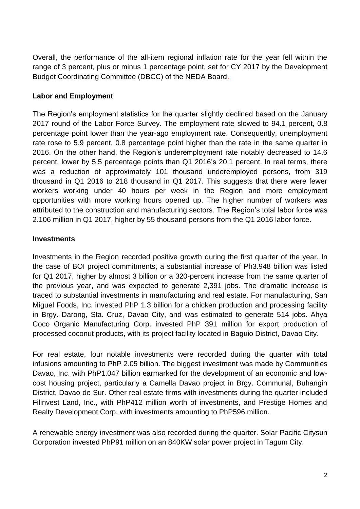Overall, the performance of the all-item regional inflation rate for the year fell within the range of 3 percent, plus or minus 1 percentage point, set for CY 2017 by the Development Budget Coordinating Committee (DBCC) of the NEDA Board.

## **Labor and Employment**

The Region's employment statistics for the quarter slightly declined based on the January 2017 round of the Labor Force Survey. The employment rate slowed to 94.1 percent, 0.8 percentage point lower than the year-ago employment rate. Consequently, unemployment rate rose to 5.9 percent, 0.8 percentage point higher than the rate in the same quarter in 2016. On the other hand, the Region's underemployment rate notably decreased to 14.6 percent, lower by 5.5 percentage points than Q1 2016's 20.1 percent. In real terms, there was a reduction of approximately 101 thousand underemployed persons, from 319 thousand in Q1 2016 to 218 thousand in Q1 2017. This suggests that there were fewer workers working under 40 hours per week in the Region and more employment opportunities with more working hours opened up. The higher number of workers was attributed to the construction and manufacturing sectors. The Region's total labor force was 2.106 million in Q1 2017, higher by 55 thousand persons from the Q1 2016 labor force.

# **Investments**

Investments in the Region recorded positive growth during the first quarter of the year. In the case of BOI project commitments, a substantial increase of Ph3.948 billion was listed for Q1 2017, higher by almost 3 billion or a 320-percent increase from the same quarter of the previous year, and was expected to generate 2,391 jobs. The dramatic increase is traced to substantial investments in manufacturing and real estate. For manufacturing, San Miguel Foods, Inc. invested PhP 1.3 billion for a chicken production and processing facility in Brgy. Darong, Sta. Cruz, Davao City, and was estimated to generate 514 jobs. Ahya Coco Organic Manufacturing Corp. invested PhP 391 million for export production of processed coconut products, with its project facility located in Baguio District, Davao City.

For real estate, four notable investments were recorded during the quarter with total infusions amounting to PhP 2.05 billion. The biggest investment was made by Communities Davao, Inc. with PhP1.047 billion earmarked for the development of an economic and lowcost housing project, particularly a Camella Davao project in Brgy. Communal, Buhangin District, Davao de Sur. Other real estate firms with investments during the quarter included Filinvest Land, Inc., with PhP412 million worth of investments, and Prestige Homes and Realty Development Corp. with investments amounting to PhP596 million.

A renewable energy investment was also recorded during the quarter. Solar Pacific Citysun Corporation invested PhP91 million on an 840KW solar power project in Tagum City.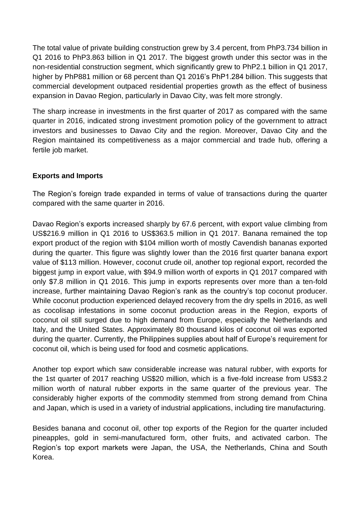The total value of private building construction grew by 3.4 percent, from PhP3.734 billion in Q1 2016 to PhP3.863 billion in Q1 2017. The biggest growth under this sector was in the non-residential construction segment, which significantly grew to PhP2.1 billion in Q1 2017, higher by PhP881 million or 68 percent than Q1 2016's PhP1.284 billion. This suggests that commercial development outpaced residential properties growth as the effect of business expansion in Davao Region, particularly in Davao City, was felt more strongly.

The sharp increase in investments in the first quarter of 2017 as compared with the same quarter in 2016, indicated strong investment promotion policy of the government to attract investors and businesses to Davao City and the region. Moreover, Davao City and the Region maintained its competitiveness as a major commercial and trade hub, offering a fertile job market.

## **Exports and Imports**

The Region's foreign trade expanded in terms of value of transactions during the quarter compared with the same quarter in 2016.

Davao Region's exports increased sharply by 67.6 percent, with export value climbing from US\$216.9 million in Q1 2016 to US\$363.5 million in Q1 2017. Banana remained the top export product of the region with \$104 million worth of mostly Cavendish bananas exported during the quarter. This figure was slightly lower than the 2016 first quarter banana export value of \$113 million. However, coconut crude oil, another top regional export, recorded the biggest jump in export value, with \$94.9 million worth of exports in Q1 2017 compared with only \$7.8 million in Q1 2016. This jump in exports represents over more than a ten-fold increase, further maintaining Davao Region's rank as the country's top coconut producer. While coconut production experienced delayed recovery from the dry spells in 2016, as well as cocolisap infestations in some coconut production areas in the Region, exports of coconut oil still surged due to high demand from Europe, especially the Netherlands and Italy, and the United States. Approximately 80 thousand kilos of coconut oil was exported during the quarter. Currently, the Philippines supplies about half of Europe's requirement for coconut oil, which is being used for food and cosmetic applications.

Another top export which saw considerable increase was natural rubber, with exports for the 1st quarter of 2017 reaching US\$20 million, which is a five-fold increase from US\$3.2 million worth of natural rubber exports in the same quarter of the previous year. The considerably higher exports of the commodity stemmed from strong demand from China and Japan, which is used in a variety of industrial applications, including tire manufacturing.

Besides banana and coconut oil, other top exports of the Region for the quarter included pineapples, gold in semi-manufactured form, other fruits, and activated carbon. The Region's top export markets were Japan, the USA, the Netherlands, China and South Korea.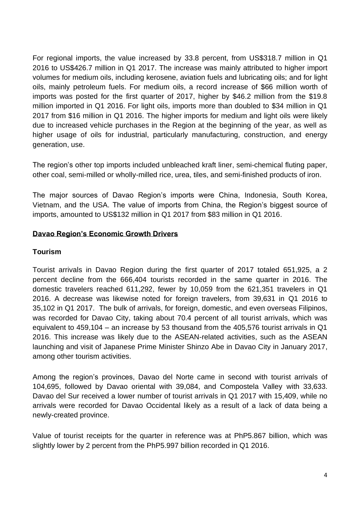For regional imports, the value increased by 33.8 percent, from US\$318.7 million in Q1 2016 to US\$426.7 million in Q1 2017. The increase was mainly attributed to higher import volumes for medium oils, including kerosene, aviation fuels and lubricating oils; and for light oils, mainly petroleum fuels. For medium oils, a record increase of \$66 million worth of imports was posted for the first quarter of 2017, higher by \$46.2 million from the \$19.8 million imported in Q1 2016. For light oils, imports more than doubled to \$34 million in Q1 2017 from \$16 million in Q1 2016. The higher imports for medium and light oils were likely due to increased vehicle purchases in the Region at the beginning of the year, as well as higher usage of oils for industrial, particularly manufacturing, construction, and energy generation, use.

The region's other top imports included unbleached kraft liner, semi-chemical fluting paper, other coal, semi-milled or wholly-milled rice, urea, tiles, and semi-finished products of iron.

The major sources of Davao Region's imports were China, Indonesia, South Korea, Vietnam, and the USA. The value of imports from China, the Region's biggest source of imports, amounted to US\$132 million in Q1 2017 from \$83 million in Q1 2016.

## **Davao Region's Economic Growth Drivers**

## **Tourism**

Tourist arrivals in Davao Region during the first quarter of 2017 totaled 651,925, a 2 percent decline from the 666,404 tourists recorded in the same quarter in 2016. The domestic travelers reached 611,292, fewer by 10,059 from the 621,351 travelers in Q1 2016. A decrease was likewise noted for foreign travelers, from 39,631 in Q1 2016 to 35,102 in Q1 2017. The bulk of arrivals, for foreign, domestic, and even overseas Filipinos, was recorded for Davao City, taking about 70.4 percent of all tourist arrivals, which was equivalent to 459,104 – an increase by 53 thousand from the 405,576 tourist arrivals in Q1 2016. This increase was likely due to the ASEAN-related activities, such as the ASEAN launching and visit of Japanese Prime Minister Shinzo Abe in Davao City in January 2017, among other tourism activities.

Among the region's provinces, Davao del Norte came in second with tourist arrivals of 104,695, followed by Davao oriental with 39,084, and Compostela Valley with 33,633. Davao del Sur received a lower number of tourist arrivals in Q1 2017 with 15,409, while no arrivals were recorded for Davao Occidental likely as a result of a lack of data being a newly-created province.

Value of tourist receipts for the quarter in reference was at PhP5.867 billion, which was slightly lower by 2 percent from the PhP5.997 billion recorded in Q1 2016.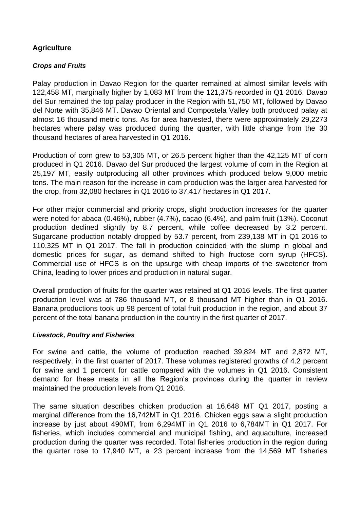## **Agriculture**

## *Crops and Fruits*

Palay production in Davao Region for the quarter remained at almost similar levels with 122,458 MT, marginally higher by 1,083 MT from the 121,375 recorded in Q1 2016. Davao del Sur remained the top palay producer in the Region with 51,750 MT, followed by Davao del Norte with 35,846 MT. Davao Oriental and Compostela Valley both produced palay at almost 16 thousand metric tons. As for area harvested, there were approximately 29,2273 hectares where palay was produced during the quarter, with little change from the 30 thousand hectares of area harvested in Q1 2016.

Production of corn grew to 53,305 MT, or 26.5 percent higher than the 42,125 MT of corn produced in Q1 2016. Davao del Sur produced the largest volume of corn in the Region at 25,197 MT, easily outproducing all other provinces which produced below 9,000 metric tons. The main reason for the increase in corn production was the larger area harvested for the crop, from 32,080 hectares in Q1 2016 to 37,417 hectares in Q1 2017.

For other major commercial and priority crops, slight production increases for the quarter were noted for abaca (0.46%), rubber (4.7%), cacao (6.4%), and palm fruit (13%). Coconut production declined slightly by 8.7 percent, while coffee decreased by 3.2 percent. Sugarcane production notably dropped by 53.7 percent, from 239,138 MT in Q1 2016 to 110,325 MT in Q1 2017. The fall in production coincided with the slump in global and domestic prices for sugar, as demand shifted to high fructose corn syrup (HFCS). Commercial use of HFCS is on the upsurge with cheap imports of the sweetener from China, leading to lower prices and production in natural sugar.

Overall production of fruits for the quarter was retained at Q1 2016 levels. The first quarter production level was at 786 thousand MT, or 8 thousand MT higher than in Q1 2016. Banana productions took up 98 percent of total fruit production in the region, and about 37 percent of the total banana production in the country in the first quarter of 2017.

### *Livestock, Poultry and Fisheries*

For swine and cattle, the volume of production reached 39,824 MT and 2,872 MT, respectively, in the first quarter of 2017. These volumes registered growths of 4.2 percent for swine and 1 percent for cattle compared with the volumes in Q1 2016. Consistent demand for these meats in all the Region's provinces during the quarter in review maintained the production levels from Q1 2016.

The same situation describes chicken production at 16,648 MT Q1 2017, posting a marginal difference from the 16,742MT in Q1 2016. Chicken eggs saw a slight production increase by just about 490MT, from 6,294MT in Q1 2016 to 6,784MT in Q1 2017. For fisheries, which includes commercial and municipal fishing, and aquaculture, increased production during the quarter was recorded. Total fisheries production in the region during the quarter rose to 17,940 MT, a 23 percent increase from the 14,569 MT fisheries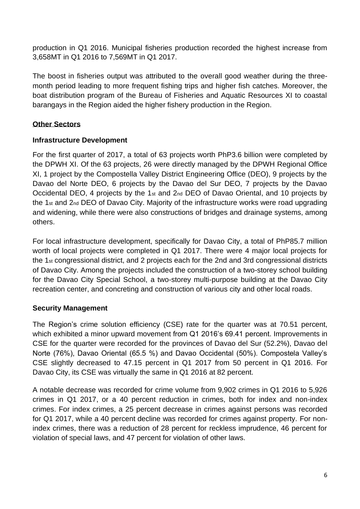production in Q1 2016. Municipal fisheries production recorded the highest increase from 3,658MT in Q1 2016 to 7,569MT in Q1 2017.

The boost in fisheries output was attributed to the overall good weather during the threemonth period leading to more frequent fishing trips and higher fish catches. Moreover, the boat distribution program of the Bureau of Fisheries and Aquatic Resources XI to coastal barangays in the Region aided the higher fishery production in the Region.

## **Other Sectors**

## **Infrastructure Development**

For the first quarter of 2017, a total of 63 projects worth PhP3.6 billion were completed by the DPWH XI. Of the 63 projects, 26 were directly managed by the DPWH Regional Office XI, 1 project by the Compostella Valley District Engineering Office (DEO), 9 projects by the Davao del Norte DEO, 6 projects by the Davao del Sur DEO, 7 projects by the Davao Occidental DEO, 4 projects by the 1st and 2nd DEO of Davao Oriental, and 10 projects by the 1st and 2nd DEO of Davao City. Majority of the infrastructure works were road upgrading and widening, while there were also constructions of bridges and drainage systems, among others.

For local infrastructure development, specifically for Davao City, a total of PhP85.7 million worth of local projects were completed in Q1 2017. There were 4 major local projects for the 1st congressional district, and 2 projects each for the 2nd and 3rd congressional districts of Davao City. Among the projects included the construction of a two-storey school building for the Davao City Special School, a two-storey multi-purpose building at the Davao City recreation center, and concreting and construction of various city and other local roads.

## **Security Management**

The Region's crime solution efficiency (CSE) rate for the quarter was at 70.51 percent, which exhibited a minor upward movement from Q1 2016's 69.41 percent. Improvements in CSE for the quarter were recorded for the provinces of Davao del Sur (52.2%), Davao del Norte (76%), Davao Oriental (65.5 %) and Davao Occidental (50%). Compostela Valley's CSE slightly decreased to 47.15 percent in Q1 2017 from 50 percent in Q1 2016. For Davao City, its CSE was virtually the same in Q1 2016 at 82 percent.

A notable decrease was recorded for crime volume from 9,902 crimes in Q1 2016 to 5,926 crimes in Q1 2017, or a 40 percent reduction in crimes, both for index and non-index crimes. For index crimes, a 25 percent decrease in crimes against persons was recorded for Q1 2017, while a 40 percent decline was recorded for crimes against property. For nonindex crimes, there was a reduction of 28 percent for reckless imprudence, 46 percent for violation of special laws, and 47 percent for violation of other laws.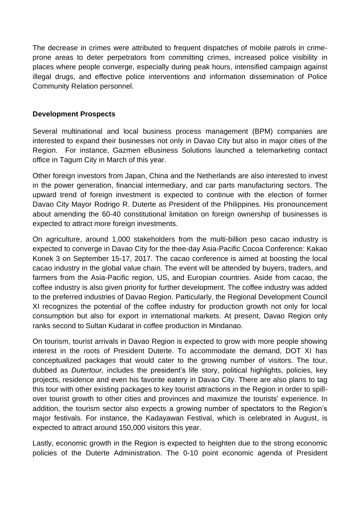The decrease in crimes were attributed to frequent dispatches of mobile patrols in crimeprone areas to deter perpetrators from committing crimes, increased police visibility in places where people converge, especially during peak hours, intensified campaign against illegal drugs, and effective police interventions and information dissemination of Police Community Relation personnel.

## **Development Prospects**

Several multinational and local business process management (BPM) companies are interested to expand their businesses not only in Davao City but also in major cities of the Region. For instance, Gazmen eBusiness Solutions launched a telemarketing contact office in Tagum City in March of this year.

Other foreign investors from Japan, China and the Netherlands are also interested to invest in the power generation, financial intermediary, and car parts manufacturing sectors. The upward trend of foreign investment is expected to continue with the election of former Davao City Mayor Rodrigo R. Duterte as President of the Philippines. His pronouncement about amending the 60-40 constitutional limitation on foreign ownership of businesses is expected to attract more foreign investments.

On agriculture, around 1,000 stakeholders from the multi-billion peso cacao industry is expected to converge in Davao City for the thee-day Asia-Pacific Cocoa Conference: Kakao Konek 3 on September 15-17, 2017. The cacao conference is aimed at boosting the local cacao industry in the global value chain. The event will be attended by buyers, traders, and farmers from the Asia-Pacific region, US, and Europian countries. Aside from cacao, the coffee industry is also given priority for further development. The coffee industry was added to the preferred industries of Davao Region. Particularly, the Regional Development Council XI recognizes the potential of the coffee industry for production growth not only for local consumption but also for export in international markets. At present, Davao Region only ranks second to Sultan Kudarat in coffee production in Mindanao.

On tourism, tourist arrivals in Davao Region is expected to grow with more people showing interest in the roots of President Duterte. To accommodate the demand, DOT XI has conceptualized packages that would cater to the growing number of visitors. The tour, dubbed as *Dutertour,* includes the president's life story, political highlights, policies, key projects, residence and even his favorite eatery in Davao City. There are also plans to tag this tour with other existing packages to key tourist attractions in the Region in order to spillover tourist growth to other cities and provinces and maximize the tourists' experience. In addition, the tourism sector also expects a growing number of spectators to the Region's major festivals. For instance, the Kadayawan Festival, which is celebrated in August, is expected to attract around 150,000 visitors this year.

Lastly, economic growth in the Region is expected to heighten due to the strong economic policies of the Duterte Administration. The 0-10 point economic agenda of President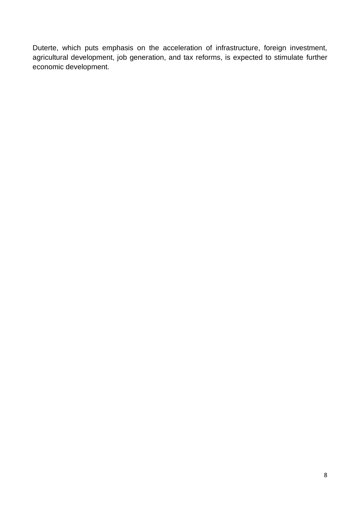Duterte, which puts emphasis on the acceleration of infrastructure, foreign investment, agricultural development, job generation, and tax reforms, is expected to stimulate further economic development.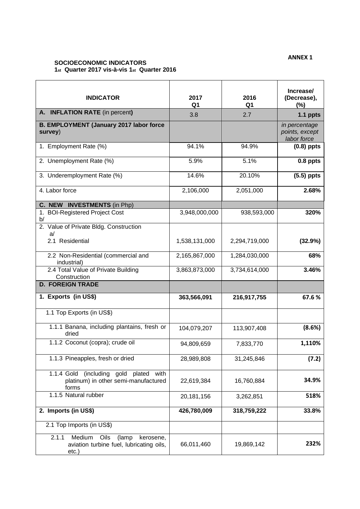#### **ANNEX 1**

#### **SOCIOECONOMIC INDICATORS 1st Quarter 2017 vis-à-vis 1st Quarter 2016**

| <b>INDICATOR</b>                                                                                   | 2017<br>Q1    | 2016<br>Q1    | Increase/<br>(Decrease),<br>(%)                |
|----------------------------------------------------------------------------------------------------|---------------|---------------|------------------------------------------------|
| A. INFLATION RATE (in percent)                                                                     | 3.8           | 2.7           | 1.1 ppts                                       |
| <b>B. EMPLOYMENT (January 2017 labor force</b><br>survey)                                          |               |               | in percentage<br>points, except<br>labor force |
| 1. Employment Rate (%)                                                                             | 94.1%         | 94.9%         | $(0.8)$ ppts                                   |
| 2. Unemployment Rate (%)                                                                           | 5.9%          | 5.1%          | 0.8 ppts                                       |
| 3. Underemployment Rate (%)                                                                        | 14.6%         | 20.10%        | $(5.5)$ ppts                                   |
| 4. Labor force                                                                                     | 2,106,000     | 2,051,000     | 2.68%                                          |
| C. NEW INVESTMENTS (in Php)                                                                        |               |               |                                                |
| 1. BOI-Registered Project Cost<br>b/                                                               | 3,948,000,000 | 938,593,000   | 320%                                           |
| 2. Value of Private Bldg. Construction<br>a                                                        |               |               |                                                |
| 2.1 Residential                                                                                    | 1,538,131,000 | 2,294,719,000 | (32.9%)                                        |
| 2.2 Non-Residential (commercial and<br>industrial)                                                 | 2,165,867,000 | 1,284,030,000 | 68%                                            |
| 2.4 Total Value of Private Building<br>Construction                                                | 3,863,873,000 | 3,734,614,000 | 3.46%                                          |
| <b>D. FOREIGN TRADE</b>                                                                            |               |               |                                                |
| 1. Exports (in US\$)                                                                               | 363,566,091   | 216,917,755   | 67.6%                                          |
| 1.1 Top Exports (in US\$)                                                                          |               |               |                                                |
| 1.1.1 Banana, including plantains, fresh or<br>dried                                               | 104,079,207   | 113,907,408   | (8.6%)                                         |
| 1.1.2 Coconut (copra); crude oil                                                                   | 94,809,659    | 7,833,770     | 1,110%                                         |
| 1.1.3 Pineapples, fresh or dried                                                                   | 28,989,808    | 31,245,846    | (7.2)                                          |
| 1.1.4 Gold (including gold plated with<br>platinum) in other semi-manufactured<br>forms            | 22,619,384    | 16,760,884    | 34.9%                                          |
| 1.1.5 Natural rubber                                                                               | 20,181,156    | 3,262,851     | 518%                                           |
| 2. Imports (in US\$)                                                                               | 426,780,009   | 318,759,222   | 33.8%                                          |
| 2.1 Top Imports (in US\$)                                                                          |               |               |                                                |
| Medium<br>2.1.1<br>Oils<br>kerosene,<br>(lamp<br>aviation turbine fuel, lubricating oils,<br>etc.) | 66,011,460    | 19,869,142    | 232%                                           |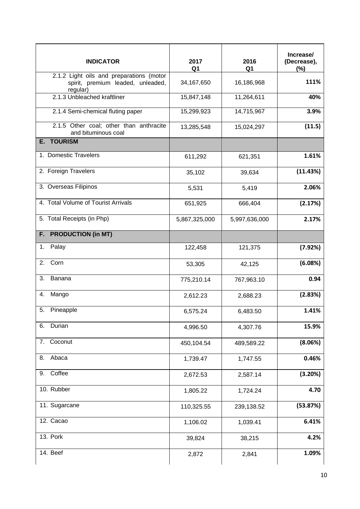| <b>INDICATOR</b>                                                                          | 2017<br>Q1    | 2016<br>Q <sub>1</sub> | Increase/<br>(Decrease),<br>$(\%)$ |
|-------------------------------------------------------------------------------------------|---------------|------------------------|------------------------------------|
| 2.1.2 Light oils and preparations (motor<br>spirit, premium leaded, unleaded,<br>regular) | 34,167,650    | 16,186,968             | 111%                               |
| 2.1.3 Unbleached kraftliner                                                               | 15,847,148    | 11,264,611             | 40%                                |
| 2.1.4 Semi-chemical fluting paper                                                         | 15,299,923    | 14,715,967             | 3.9%                               |
| 2.1.5 Other coal; other than anthracite<br>and bituminous coal                            | 13,285,548    | 15,024,297             | (11.5)                             |
| <b>E. TOURISM</b>                                                                         |               |                        |                                    |
| 1. Domestic Travelers                                                                     | 611,292       | 621,351                | 1.61%                              |
| 2. Foreign Travelers                                                                      | 35,102        | 39,634                 | (11.43%)                           |
| 3. Overseas Filipinos                                                                     | 5,531         | 5,419                  | 2.06%                              |
| 4. Total Volume of Tourist Arrivals                                                       | 651,925       | 666,404                | (2.17%)                            |
| 5. Total Receipts (in Php)                                                                | 5,867,325,000 | 5,997,636,000          | 2.17%                              |
| F. PRODUCTION (in MT)                                                                     |               |                        |                                    |
| Palay<br>1.                                                                               | 122,458       | 121,375                | (7.92%)                            |
| 2. Corn                                                                                   | 53,305        | 42,125                 | (6.08%)                            |
| 3.<br>Banana                                                                              | 775,210.14    | 767,963.10             | 0.94                               |
| Mango<br>4.                                                                               | 2,612.23      | 2,688.23               | (2.83%)                            |
| 5.<br>Pineapple                                                                           | 6,575.24      | 6,483.50               | 1.41%                              |
| Durian<br>6.                                                                              | 4,996.50      | 4,307.76               | 15.9%                              |
| 7. Coconut                                                                                | 450,104.54    | 489,589.22             | (8.06%)                            |
| Abaca<br>8.                                                                               | 1,739.47      | 1,747.55               | 0.46%                              |
| Coffee<br>9.                                                                              | 2,672.53      | 2,587.14               | (3.20%)                            |
| 10. Rubber                                                                                | 1,805.22      | 1,724.24               | 4.70                               |
| 11. Sugarcane                                                                             | 110,325.55    | 239,138.52             | (53.87%)                           |
| 12. Cacao                                                                                 | 1,106.02      | 1,039.41               | 6.41%                              |
| 13. Pork                                                                                  | 39,824        | 38,215                 | 4.2%                               |
| 14. Beef                                                                                  | 2,872         | 2,841                  | 1.09%                              |